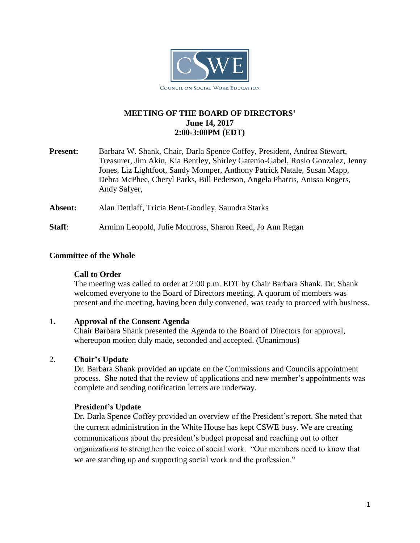

# **MEETING OF THE BOARD OF DIRECTORS' June 14, 2017 2:00-3:00PM (EDT)**

**Present:** Barbara W. Shank, Chair, Darla Spence Coffey, President, Andrea Stewart, Treasurer, Jim Akin, Kia Bentley, Shirley Gatenio-Gabel, Rosio Gonzalez, Jenny Jones, Liz Lightfoot, Sandy Momper, Anthony Patrick Natale, Susan Mapp, Debra McPhee, Cheryl Parks, Bill Pederson, Angela Pharris, Anissa Rogers, Andy Safyer,

**Absent:** Alan Dettlaff, Tricia Bent-Goodley, Saundra Starks

**Staff**: Arminn Leopold, Julie Montross, Sharon Reed, Jo Ann Regan

## **Committee of the Whole**

#### **Call to Order**

The meeting was called to order at 2:00 p.m. EDT by Chair Barbara Shank. Dr. Shank welcomed everyone to the Board of Directors meeting. A quorum of members was present and the meeting, having been duly convened, was ready to proceed with business.

## 1**. Approval of the Consent Agenda**

Chair Barbara Shank presented the Agenda to the Board of Directors for approval, whereupon motion duly made, seconded and accepted. (Unanimous)

## 2. **Chair's Update**

Dr. Barbara Shank provided an update on the Commissions and Councils appointment process. She noted that the review of applications and new member's appointments was complete and sending notification letters are underway.

#### **President's Update**

Dr. Darla Spence Coffey provided an overview of the President's report. She noted that the current administration in the White House has kept CSWE busy. We are creating communications about the president's budget proposal and reaching out to other organizations to strengthen the voice of social work. "Our members need to know that we are standing up and supporting social work and the profession."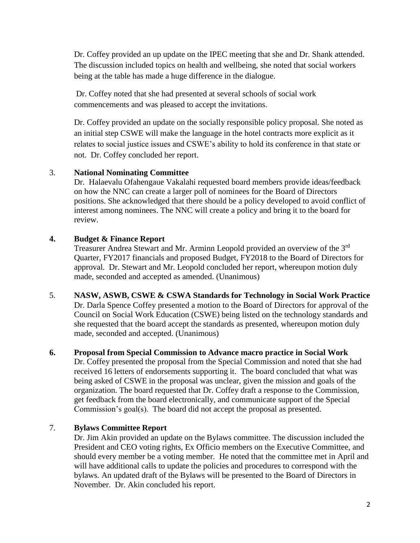Dr. Coffey provided an up update on the IPEC meeting that she and Dr. Shank attended. The discussion included topics on health and wellbeing, she noted that social workers being at the table has made a huge difference in the dialogue.

Dr. Coffey noted that she had presented at several schools of social work commencements and was pleased to accept the invitations.

Dr. Coffey provided an update on the socially responsible policy proposal. She noted as an initial step CSWE will make the language in the hotel contracts more explicit as it relates to social justice issues and CSWE's ability to hold its conference in that state or not. Dr. Coffey concluded her report.

## 3. **National Nominating Committee**

Dr. Halaevalu Ofahengaue Vakalahi requested board members provide ideas/feedback on how the NNC can create a larger poll of nominees for the Board of Directors positions. She acknowledged that there should be a policy developed to avoid conflict of interest among nominees. The NNC will create a policy and bring it to the board for review.

#### **4. Budget & Finance Report**

Treasurer Andrea Stewart and Mr. Arminn Leopold provided an overview of the 3<sup>rd</sup> Quarter, FY2017 financials and proposed Budget, FY2018 to the Board of Directors for approval. Dr. Stewart and Mr. Leopold concluded her report, whereupon motion duly made, seconded and accepted as amended. (Unanimous)

5. **NASW, ASWB, CSWE & CSWA Standards for Technology in Social Work Practice** Dr. Darla Spence Coffey presented a motion to the Board of Directors for approval of the Council on Social Work Education (CSWE) being listed on the technology standards and she requested that the board accept the standards as presented, whereupon motion duly made, seconded and accepted. (Unanimous)

## **6. Proposal from Special Commission to Advance macro practice in Social Work**

Dr. Coffey presented the proposal from the Special Commission and noted that she had received 16 letters of endorsements supporting it. The board concluded that what was being asked of CSWE in the proposal was unclear, given the mission and goals of the organization. The board requested that Dr. Coffey draft a response to the Commission, get feedback from the board electronically, and communicate support of the Special Commission's goal(s). The board did not accept the proposal as presented.

## 7. **Bylaws Committee Report**

Dr. Jim Akin provided an update on the Bylaws committee. The discussion included the President and CEO voting rights, Ex Officio members on the Executive Committee, and should every member be a voting member. He noted that the committee met in April and will have additional calls to update the policies and procedures to correspond with the bylaws. An updated draft of the Bylaws will be presented to the Board of Directors in November. Dr. Akin concluded his report.